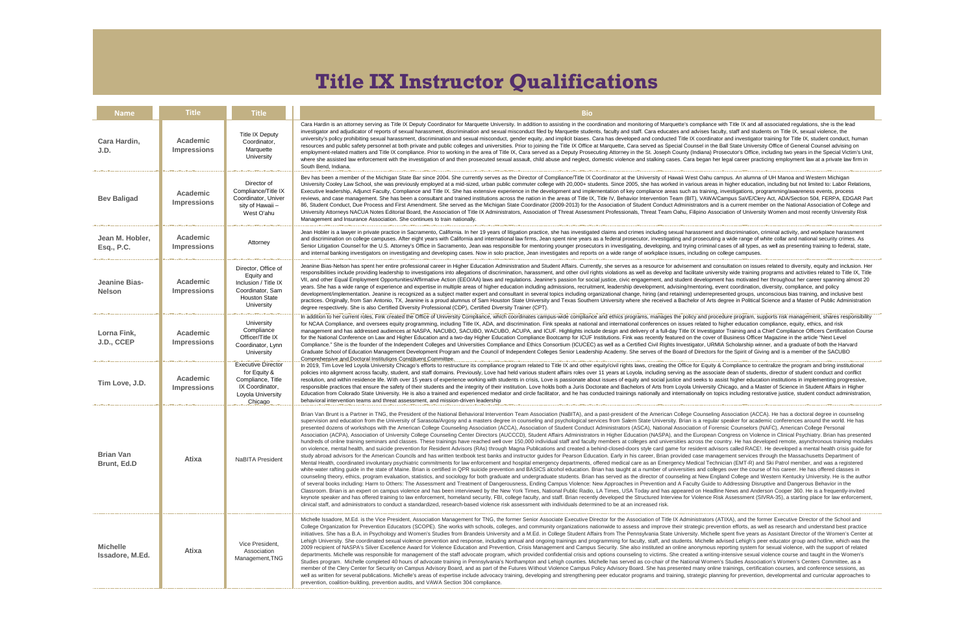| <b>Name</b>                               | <b>Title</b>                          | <b>Title</b>                                                                                                        | <b>Bio</b>                                                                                                                                                                                                                                                                                                                                                                                                                                                                                                                                                                                                                                                                                                                                                                                                                                                                                                                                                                                                                                                                                                                                                                                                                                                                                                                                                                                                                                                                                                                                                                                                                                                                                                                                                                                                |  |
|-------------------------------------------|---------------------------------------|---------------------------------------------------------------------------------------------------------------------|-----------------------------------------------------------------------------------------------------------------------------------------------------------------------------------------------------------------------------------------------------------------------------------------------------------------------------------------------------------------------------------------------------------------------------------------------------------------------------------------------------------------------------------------------------------------------------------------------------------------------------------------------------------------------------------------------------------------------------------------------------------------------------------------------------------------------------------------------------------------------------------------------------------------------------------------------------------------------------------------------------------------------------------------------------------------------------------------------------------------------------------------------------------------------------------------------------------------------------------------------------------------------------------------------------------------------------------------------------------------------------------------------------------------------------------------------------------------------------------------------------------------------------------------------------------------------------------------------------------------------------------------------------------------------------------------------------------------------------------------------------------------------------------------------------------|--|
| Cara Hardin,<br>J.D.                      | <b>Academic</b><br><b>Impressions</b> | <b>Title IX Deputy</b><br>Coordinator,<br>Marquette<br>University                                                   | Cara Hardin is an attorney serving as Title IX Deputy Coordinator for Marquette University. In addition to assisting in the co<br>investigator and adjudicator of reports of sexual harassment, discrimination and sexual misconduct filed by Marquette stude<br>university's policy prohibiting sexual harassment, discrimination and sexual misconduct, gender equity, and implicit biases.<br>resources and public safety personnel at both private and public colleges and universities. Prior to joining the Title IX Office<br>employment-related matters and Title IX compliance. Prior to working in the area of Title IX, Cara served as a Deputy Prose<br>where she assisted law enforcement with the investigation of and then prosecuted sexual assault, child abuse and neglect,<br>South Bend, Indiana.                                                                                                                                                                                                                                                                                                                                                                                                                                                                                                                                                                                                                                                                                                                                                                                                                                                                                                                                                                                     |  |
| <b>Bev Baligad</b>                        | <b>Academic</b><br><b>Impressions</b> | Director of<br>Compliance/Title IX<br>Coordinator, Univer<br>sity of Hawaii -<br>West O'ahu                         | Bev has been a member of the Michigan State Bar since 2004. She currently serves as the Director of Compliance/Title IX<br>University Cooley Law School, she was previously employed at a mid-sized, urban public commuter college with 20,000+ st<br>Executive leadership, Adjunct Faculty, Compliance and Title IX. She has extensive experience in the development and impl<br>reviews, and case management. She has been a consultant and trained institutions across the nation in the areas of Title I)<br>86, Student Conduct, Due Process and First Amendment. She served as the Michigan State Coordinator (2009-2013) for th<br>University Attorneys NACUA Notes Editorial Board, the Association of Title IX Administrators, Association of Threat Assess<br>Management and Insurance Association. She continues to train nationally.                                                                                                                                                                                                                                                                                                                                                                                                                                                                                                                                                                                                                                                                                                                                                                                                                                                                                                                                                          |  |
| Jean M. Hobler,<br>Esq., P.C.             | <b>Academic</b><br><b>Impressions</b> | Attorney                                                                                                            | Jean Hobler is a lawyer in private practice in Sacramento, California. In her 19 years of litigation practice, she has investiga<br>and discrimination on college campuses. After eight years with California and international law firms, Jean spent nine years<br>Senior Litigation Counsel for the U.S. Attorney's Office in Sacramento, Jean was responsible for mentoring younger prosec<br>and internal banking investigators on investigating and developing cases. Now in solo practice, Jean investigates and repor                                                                                                                                                                                                                                                                                                                                                                                                                                                                                                                                                                                                                                                                                                                                                                                                                                                                                                                                                                                                                                                                                                                                                                                                                                                                              |  |
| <b>Jeanine Bias-</b><br><b>Nelson</b>     | <b>Academic</b><br><b>Impressions</b> | Director, Office of<br>Equity and<br>Inclusion / Title IX<br>Coordinator, Sam<br><b>Houston State</b><br>University | Jeanine Bias-Nelson has spent her entire professional career in Higher Education Administration and Student Affairs. Curre<br>responsibilities include providing leadership to investigations into allegations of discrimination, harassment, and other civil r<br>VII, and other Equal Employment Opportunities/Affirmative Action (EEO/AA) laws and regulations. Jeanine's passion for so<br>years. She has a wide range of experience and expertise in multiple areas of higher education including admissions, recruit<br>development/implementation. Jeanine is recognized as a subject matter expert and consultant in several topics including or<br>practices. Originally, from San Antonio, TX, Jeanine is a proud alumnus of Sam Houston State University and Texas South<br>degree respectively. She is also Certified Diversity Professional (CDP), Certified Diversity Trainer (CPT).                                                                                                                                                                                                                                                                                                                                                                                                                                                                                                                                                                                                                                                                                                                                                                                                                                                                                                        |  |
| Lorna Fink,<br>J.D., CCEP                 | <b>Academic</b><br><b>Impressions</b> | University<br>Compliance<br>Officer/Title IX<br>Coordinator, Lynn<br>University                                     | In addition to her current roles, Fink created the Office of University Compliance, which coordinates campus-wide complian<br>for NCAA Compliance, and oversees equity programming, including Title IX, ADA, and discrimination. Fink speaks at nation<br>management and has addressed audiences at NASPA, NACUBO, SACUBO, WACUBO, ACUPA, and ICUF. Highlights incl<br>for the National Conference on Law and Higher Education and a two-day Higher Education Compliance Bootcamp for ICUF<br>Compliance." She is the founder of the Independent Colleges and Universities Compliance and Ethics Consortium (ICUCEO<br>Graduate School of Education Management Development Program and the Council of Independent Colleges Senior Leader<br>Comprehensive and Doctoral Institutions Constituent Committee.                                                                                                                                                                                                                                                                                                                                                                                                                                                                                                                                                                                                                                                                                                                                                                                                                                                                                                                                                                                                |  |
| Tim Love, J.D.                            | <b>Academic</b><br><b>Impressions</b> | <b>Executive Director</b><br>for Equity &<br>Compliance, Title<br>IX Coordinator,<br>Loyola University<br>Chicago   | In 2019, Tim Love led Loyola University Chicago's efforts to restructure its compliance program related to Title IX and other<br>policies into alignment across faculty, student, and staff domains. Previously, Love had held various student affairs roles ov<br>resolution, and within residence life. With over 15 years of experience working with students in crisis, Love is passionate at<br>responsible practices that ensure the safety of their students and the integrity of their institution. Love holds both a Juris Do<br>Education from Colorado State University. He is also a trained and experienced mediator and circle facilitator, and he has c<br>behavioral intervention teams and threat assessment, and mission-driven leadership                                                                                                                                                                                                                                                                                                                                                                                                                                                                                                                                                                                                                                                                                                                                                                                                                                                                                                                                                                                                                                              |  |
| <b>Brian Van</b><br>Brunt, Ed.D           | <b>Atixa</b>                          | <b>NaBITA President</b>                                                                                             | Brian Van Brunt is a Partner in TNG, the President of the National Behavioral Intervention Team Association (NaBITA), and<br>supervision and education from the University of Sarasota/Argosy and a masters degree in counseling and psychological se<br>presented dozens of workshops with the American College Counseling Association (ACCA), Association of Student Conduc<br>Association (ACPA), Association of University College Counseling Center Directors (AUCCCD), Student Affairs Administrat<br>hundreds of online training seminars and classes. These trainings have reached well over 150,000 individual staff and facu<br>on violence, mental health, and suicide prevention for Resident Advisors (RAs) through Magna Publications and created a l<br>study abroad advisors for the American Councils and has written textbook test banks and instructor guides for Pearson Edu<br>Mental Health, coordinated involuntary psychiatric commitments for law enforcement and hospital emergency departments,<br>white-water rafting guide in the state of Maine. Brian is certified in QPR suicide prevention and BASICS alcohol education.<br>counseling theory, ethics, program evaluation, statistics, and sociology for both graduate and undergraduate students. Bria<br>of several books including: Harm to Others: The Assessment and Treatment of Dangerousness, Ending Campus Violence:<br>Classroom. Brian is an expert on campus violence and has been interviewed by the New York Times, National Public Radio<br>keynote speaker and has offered training to law enforcement, homeland security, FBI, college faculty, and staff. Brian recen<br>clinical staff, and administrators to conduct a standardized, research-based violence risk assessment with individuals deteri |  |
| <b>Michelle</b><br><b>Issadore, M.Ed.</b> | <b>Atixa</b>                          | Vice President,<br>Association<br>Management, TNG                                                                   | Michelle Issadore, M.Ed. is the Vice President, Association Management for TNG, the former Senior Associate Executive D<br>College Organization for Prevention Educators (SCOPE). She works with schools, colleges, and community organizations r<br>initiatives. She has a B.A. in Psychology and Women's Studies from Brandeis University and a M.Ed. in College Student Af<br>Lehigh University. She coordinated sexual violence prevention and response, including annual and ongoing trainings and p<br>2009 recipient of NASPA's Silver Excellence Award for Violence Education and Prevention, Crisis Management and Campu<br>departments. Michelle was responsible for management of the staff advocate program, which provided confidential crisis are<br>Studies program. Michelle completed 40 hours of advocate training in Pennsylvania's Northampton and Lehigh counties. M<br>member of the Clery Center for Security on Campus Advisory Board, and as part of the Futures Without Violence Campus<br>well as written for several publications. Michelle's areas of expertise include advocacy training, developing and strengthenin<br>prevention, coalition-building, prevention audits, and VAWA Section 304 compliance.                                                                                                                                                                                                                                                                                                                                                                                                                                                                                                                                                                |  |

ddition to assisting in the coordination and monitoring of Marquette's compliance with Title IX and all associated regulations, she is the lead luct filed by Marquette students, faculty and staff. Cara educates and advises faculty, staff and students on Title IX, sexual violence, the equity, and implicit biases. Cara has developed and conducted Title IX coordinator and investigator training for Title IX, student conduct, human to joining the Title IX Office at Marquette, Cara served as Special Counsel in the Ball State University Office of General Counsel advising on ra served as a Deputy Prosecuting Attorney in the St. Joseph County (Indiana) Prosecutor's Office, including two years in the Special Victim's Unit, ult, child abuse and neglect, domestic violence and stalking cases. Cara began her legal career practicing employment law at a private law firm in

Betor of Compliance/Title IX Coordinator at the University of Hawaii West Oahu campus. An alumna of UH Manoa and Western Michigan uter college with 20,000+ students. Since 2005, she has worked in various areas in higher education, including but not limited to: Labor Relations, in the development and implementation of key compliance areas such as training, investigations, programming/awareness events, process nation in the areas of Title IX, Title IV, Behavior Intervention Team (BIT), VAWA/Campus SaVE/Clery Act, ADA/Section 504, FERPA, EDGAR Part oordinator (2009-2013) for the Association of Student Conduct Administrators and is a current member on the National Association of College and ssociation of Threat Assessment Professionals, Threat Team Oahu, Filipino Association of University Women and most recently University Risk

practice, she has investigated claims and crimes including sexual harassment and discrimination, criminal activity, and workplace harassment irms, Jean spent nine years as a federal prosecutor, investigating and prosecuting a wide range of white collar and national security crimes. As mentoring younger prosecutors in investigating, developing, and trying criminal cases of all types, as well as presenting training to federal, state, Jean investigates and reports on a wide range of workplace issues, including on college campuses.

In and Student Affairs. Currently, she serves as a resource for advisement and consultation on issues related to diversity, equity and inclusion. Her narassment, and other civil rights violations as well as develop and facilitate university wide training programs and activities related to Title IX, Title ns. Jeanine's passion for social justice, civic engagement, and student development has motivated her throughout her career spanning almost 20 including admissions, recruitment, leadership development, advising/mentoring, event coordination, diversity, compliance, and policy in several topics including organizational change, hiring (and retaining) underrepresented groups, unconscious bias training, and inclusive best University and Texas Southern University where she received a Bachelor of Arts degree in Political Science and a Master of Public Administration

ates campus-wide compliance and ethics programs, manages the policy and procedure program, supports risk management, shares responsibility nation. Fink speaks at national and international conferences on issues related to higher education compliance, equity, ethics, and risk PA, and ICUF. Highlights include design and delivery of a full-day Title IX Investigator Training and a Chief Compliance Officers Certification Course ppliance Bootcamp for ICUF Institutions. Fink was recently featured on the cover of Business Officer Magazine in the article "Next Level Ethics Consortium (ICUCEC) as well as a Certified Civil Rights Investigator, URMIA Scholarship winner, and a graduate of both the Harvard dent Colleges Senior Leadership Academy. She serves of the Board of Directors for the Spirit of Giving and is a member of the SACUBO

related to Title IX and other equity/civil rights laws, creating the Office for Equity & Compliance to centralize the program and bring institutional rious student affairs roles over 11 years at Loyola, including serving as the associate dean of students, director of student conduct and conflict crisis, Love is passionate about issues of equity and social justice and seeks to assist higher education institutions in implementing progressive, Love holds both a Juris Doctorate and Bachelors of Arts from Loyola University Chicago, and a Master of Science in Student Affairs in Higher rcle facilitator, and he has conducted trainings nationally and internationally on topics including restorative justice, student conduct administration,

Association (NaBITA), and a past-president of the American College Counseling Association (ACCA). He has a doctoral degree in counseling nseling and psychological services from Salem State University. Brian is a regular speaker for academic conferences around the world. He has sociation of Student Conduct Administrators (ASCA), National Association of Forensic Counselors (NAFC), American College Personal Student Affairs Administrators in Higher Education (NASPA), and the European Congress on Violence in Clinical Psychiatry. Brian has presented 000 individual staff and faculty members at colleges and universities across the country. He has developed remote, asynchronous training modules Publications and created a behind-closed-doors style card game for resident advisors called RACE!. He developed a mental health crisis guide for ctor quides for Pearson Education. Early in his career, Brian provided case management services through the Massachusetts Department of tal emergency departments, offered medical care as an Emergency Medical Technician (EMT-R) and Ski Patrol member, and was a registered BASICS alcohol education. Brian has taught at a number of universities and colleges over the course of his career. He has offered classes in ndergraduate students. Brian has served as the director of counseling at New England College and Western Kentucky University. He is the author For Seperal and Dangeral Books in Prevention and A Faculty Guide to Addressing Disruptive and Dangerous Behavior in the Approaches in Prevention and A Faculty Guide to Addressing Disruptive and Dangerous Behavior in the imes, National Public Radio, LA Times, USA Today and has appeared on Headline News and Anderson Cooper 360. He is a frequently-invited

aculty, and staff. Brian recently developed the Structured Interview for Violence Risk Assessment (SIVRA-35), a starting place for law enforcement, ment with individuals determined to be at an increased risk. enior Associate Executive Director for the Association of Title IX Administrators (ATIXA), and the former Executive Director of the School and

community organizations nationwide to assess and improve their strategic prevention efforts, as well as research and understand best practice M.Ed. in College Student Affairs from The Pennsylvania State University. Michelle spent five years as Assistant Director of the Women's Center at and ongoing trainings and programming for faculty, staff, and students. Michelle advised Lehigh's peer educator group and hotline, which was the sis Management and Campus Security. She also instituted an online anonymous reporting system for sexual violence, with the support of related rovided confidential crisis and options counseling to victims. She created a writing-intensive sexual violence course and taught in the Women's oton and Lehigh counties. Michelle has served as co-chair of the National Women's Studies Association's Women's Centers Committee, as a Without Violence Campus Policy Advisory Board. She has presented many online trainings, certification courses, and conference sessions, as leveloping and strengthening peer educator programs and training, strategic planning for prevention, developmental and curricular approaches to

## **Title IX Instructor Qualifications**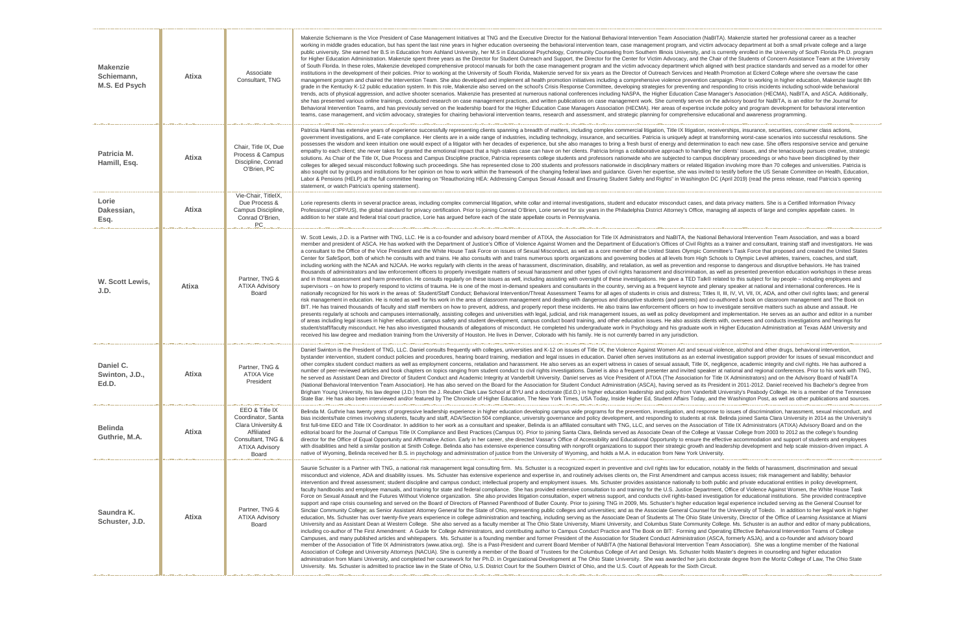| <b>Makenzie</b><br>Schiemann,<br>M.S. Ed Psych | <b>Atixa</b> | Associate<br>Consultant, TNG                                                                                                           | Makenzie Schiemann is the Vice President of Case Management Initiatives at TNG and the Exec<br>working in middle grades education, but has spent the last nine years in higher education overse<br>public university. She earned her B.S in Education from Ashland University, her M.S in Education<br>for Higher Education Administration. Makenzie spent three years as the Director for Student Out<br>of South Florida. In these roles, Makenzie developed comprehensive protocol manuals for both th<br>institutions in the development of their policies. Prior to working at the University of South Florida<br>management program and chaired the Intervention Team. She also developed and implement all<br>grade in the Kentucky K-12 public education system. In this role, Makenzie also served on the sc<br>trends, acts of physical aggression, and active shooter scenarios. Makenzie has presented at nu<br>she has presented various online trainings, conducted research on case management practices,<br>Behavioral Intervention Teams, and has previously served on the leadership board for the Higher<br>teams, case management, and victim advocacy, strategies for chairing behavioral intervention te                                                                                                                                                                                                                                                                                                                    |
|------------------------------------------------|--------------|----------------------------------------------------------------------------------------------------------------------------------------|---------------------------------------------------------------------------------------------------------------------------------------------------------------------------------------------------------------------------------------------------------------------------------------------------------------------------------------------------------------------------------------------------------------------------------------------------------------------------------------------------------------------------------------------------------------------------------------------------------------------------------------------------------------------------------------------------------------------------------------------------------------------------------------------------------------------------------------------------------------------------------------------------------------------------------------------------------------------------------------------------------------------------------------------------------------------------------------------------------------------------------------------------------------------------------------------------------------------------------------------------------------------------------------------------------------------------------------------------------------------------------------------------------------------------------------------------------------------------------------------------------------------------------------------------|
| Patricia M.<br>Hamill, Esq.                    | <b>Atixa</b> | Chair, Title IX, Due<br>Process & Campus<br>Discipline, Conrad<br>O'Brien, PC                                                          | Patricia Hamill has extensive years of experience successfully representing clients spanning a br<br>government investigations, and E-rate compliance. Her clients are in a wide range of industries, i<br>possesses the wisdom and keen intuition one would expect of a litigator with her decades of expe<br>empathy to each client; she never takes for granted the emotional impact that a high-stakes case<br>solutions. As Chair of the Title IX, Due Process and Campus Discipline practice, Patricia represe<br>colleges for alleged sexual misconduct following such proceedings. She has represented close to<br>also sought out by groups and institutions for her opinion on how to work within the framework of<br>Labor & Pensions (HELP) at the full committee hearing on "Reauthorizing HEA: Addressing Cam<br>statement, or watch Patricia's opening statement).                                                                                                                                                                                                                                                                                                                                                                                                                                                                                                                                                                                                                                                                 |
| Lorie<br>Dakessian,<br>Esq.                    | <b>Atixa</b> | Vie-Chair, TitleIX,<br>Due Process &<br>Campus Discipline,<br>Conrad O'Brien,<br><b>PC</b>                                             | Lorie represents clients in several practice areas, including complex commercial litigation, white o<br>Professional (CIPP/US), the global standard for privacy certification. Prior to joining Conrad O'Bri<br>addition to her state and federal trial court practice, Lorie has argued before each of the state ap                                                                                                                                                                                                                                                                                                                                                                                                                                                                                                                                                                                                                                                                                                                                                                                                                                                                                                                                                                                                                                                                                                                                                                                                                              |
| W. Scott Lewis,<br>J.D.                        | <b>Atixa</b> | Partner, TNG &<br><b>ATIXA Advisory</b><br>Board                                                                                       | W. Scott Lewis, J.D. is a Partner with TNG, LLC. He is a co-founder and advisory board member<br>member and president of ASCA. He has worked with the Department of Justice's Office of Violer<br>a consultant to the Office of the Vice President and the White House Task Force on issues of Se<br>Center for SafeSport, both of which he consults with and trains. He also consults with and trains i<br>including working with the NCAA and NJCAA. He works regularly with clients in the areas of hara<br>thousands of administrators and law enforcement officers to properly investigate matters of sexu<br>and in threat assessment and harm prevention. He consults regularly on these issues as well, inc<br>supervisors – on how to properly respond to victims of trauma. He is one of the most in-demand<br>nationally recognized for his work in the areas of: Student/Staff Conduct; Behavioral Intervention/<br>risk management in education. He is noted as well for his work in the area of classroom manage<br>BIT. He has trained thousands of faculty and staff members on how to prevent, address, and pro<br>presents regularly at schools and campuses internationally, assisting colleges and universities wi<br>of areas including legal issues in higher education, campus safety and student development, can<br>student/staff/faculty misconduct. He has also investigated thousands of allegations of misconduc<br>received his law degree and mediation training from the University of Houston. He lives in Denve |
| Daniel C.<br>Swinton, J.D.,<br>Ed.D.           | <b>Atixa</b> | Partner, TNG &<br><b>ATIXA Vice</b><br>President                                                                                       | Daniel Swinton is the President of TNG, LLC. Daniel consults frequently with colleges, universitie<br>bystander intervention, student conduct policies and procedures, hearing board training, mediation<br>other complex student conduct matters as well as employment concerns, retaliation and harassm<br>number of peer-reviewed articles and book chapters on topics ranging from student conduct to ci<br>he served as Assistant Dean and Director of Student Conduct and Academic Integrity at Vanderb<br>(National Behavioral Intervention Team Association). He has also served on the Board for the As<br>Brigham Young University, his law degree (J.D.) from the J. Reuben Clark Law School at BYU ar<br>State Bar. He has also been interviewed and/or featured by The Chronicle of Higher Education, 1                                                                                                                                                                                                                                                                                                                                                                                                                                                                                                                                                                                                                                                                                                                              |
| <b>Belinda</b><br>Guthrie, M.A.                | <b>Atixa</b> | EEO & Title IX<br>Coordinator, Santa<br>Clara University &<br>Affiliated<br>Consultant, TNG &<br><b>ATIXA Advisory</b><br><b>Board</b> | Belinda M. Guthrie has twenty years of progressive leadership experience in higher education de<br>bias incidents/hate crimes involving students, faculty and staff, ADA/Section 504 compliance, uni<br>first full-time EEO and Title IX Coordinator. In addition to her work as a consultant and speaker, I<br>editorial board for the Journal of Campus Title IX Compliance and Best Practices (Campus IX). P<br>director for the Office of Equal Opportunity and Affirmative Action. Early in her career, she director<br>with disabilities and held a similar position at Smith College. Belinda also has extensive experient<br>native of Wyoming, Belinda received her B.S. in psychology and administration of justice from th                                                                                                                                                                                                                                                                                                                                                                                                                                                                                                                                                                                                                                                                                                                                                                                                             |
| Saundra K.<br>Schuster, J.D.                   | <b>Atixa</b> | Partner, TNG &<br><b>ATIXA Advisory</b><br><b>Board</b>                                                                                | Saunie Schuster is a Partner with TNG, a national risk management legal consulting firm. Ms. So<br>misconduct and violence, ADA and disability issues. Ms. Schuster has extensive experience and<br>intervention and threat assessment; student discipline and campus conduct; intellectual property<br>faculty handbooks and employee manuals, and training for state and federal compliance. She ha<br>Force on Sexual Assault and the Futures Without Violence organization. She also provides litiga<br>support and rape crisis counseling and served on the Board of Directors of Planned Parenthood<br>Sinclair Community College; as Senior Assistant Attorney General for the State of Ohio, represer<br>education, Ms. Schuster has over twenty-five years experience in college administration and tead<br>University and as Assistant Dean at Western College. She also served as a faculty member at T<br>including co-author of The First Amendment: A Guide for College Administrators, and contributir<br>Campuses, and many published articles and whitepapers. Ms. Schuster is a founding member a<br>member of the Association of Title IX Administrators (www.atixa.org). She is a Past-President are<br>Association of College and University Attorneys (NACUA). She is currently a member of the Boar<br>administration from Miami University, and completed her coursework for her Ph.D. in Organizatio<br>University. Ms. Schuster is admitted to practice law in the State of Ohio, U.S. District Court for the           |

cutive Director for the National Behavioral Intervention Team Association (NaBITA). Makenzie started her professional career as a teacher eeing the behavioral intervention team, case management program, and victim advocacy department at both a small private college and a large nal Psychology, Community Counseling from Southern Illinois University, and is currently enrolled in the University of South Florida Ph.D. program reach and Support, the Director for the Center for Victim Advocacy, and the Chair of the Students of Concern Assistance Team at the University he case management program and the victim advocacy department which aligned with best practice standards and served as a model for other , Makenzie served for six years as the Director of Outreach Services and Health Promotion at Eckerd College where she oversaw the case I health promotion initiatives including a comprehensive violence prevention campaign. Prior to working in higher education, Makenzie taught 8th chool's Crisis Response Committee, developing strategies for preventing and responding to crisis incidents including school-wide behavioral imerous national conferences including NASPA, the Higher Education Case Manager's Association (HECMA), NaBITA, and ASCA. Additionally, and written publications on case management work. She currently serves on the advisory board for NaBITA, is an editor for the Journal for Education Case Managers Association (HECMA). Her areas of expertise include policy and program development for behavioral intervention eams, research and assessment, and strategic planning for comprehensive educational and awareness programming.

readth of matters, including complex commercial litigation, Title IX litigation, receiverships, insurance, securities, consumer class actions, including technology, insurance, and securities. Patricia is uniquely adept at transforming worst-case scenarios into successful resolutions. She erience, but she also manages to bring a fresh burst of energy and determination to each new case. She offers responsive service and genuine e can have on her clients. Patricia brings a collaborative approach to handling her clients' issues, and she tenaciously pursues creative, strategic ents college students and professors nationwide who are subjected to campus disciplinary proceedings or who have been disciplined by their 200 students and professors nationwide in disciplinary matters or related litigation involving more than 70 colleges and universities. Patricia is f the changing federal laws and guidance. Given her expertise, she was invited to testify before the US Senate Committee on Health, Education, ipus Sexual Assault and Ensuring Student Safety and Rights" in Washington DC (April 2019) (read the press release, read Patricia's opening

collar and internal investigations, student and educator misconduct cases, and data privacy matters. She is a Certified Information Privacy ien, Lorie served for six years in the Philadelphia District Attorney's Office, managing all aspects of large and complex appellate cases. In pellate courts in Pennsylvania.

r of ATIXA, the Association for Title IX Administrators and NaBITA, the National Behavioral Intervention Team Association, and was a board nce Against Women and the Department of Education's Offices of Civil Rights as a trainer and consultant, training staff and investigators. He was exual Misconduct, as well as a core member of the United States Olympic Committee's Task Force that proposed and created the United States numerous sports organizations and governing bodies at all levels from High Schools to Olympic Level athletes, trainers, coaches, and staff, assment, discrimination, disability, and retaliation, as well as prevention and response to dangerous and disruptive behaviors. He has trained ral harassment and other types of civil rights harassment and discrimination, as well as presented prevention education workshops in these areas cluding assisting with oversight of these investigations. He gave a TED Talk® related to this subject for lay people – including employees and speakers and consultants in the country, serving as a frequent keynote and plenary speaker at national and international conferences. He is /Threat Assessment Teams for all ages of students in crisis and distress; Titles II, III, IV, VI, VII, IX, ADA, and other civil rights laws; and general ment and dealing with dangerous and disruptive students (and parents) and co-authored a book on classroom management and The Book on operly report these incidents. He also trains law enforcement officers on how to investigate sensitive matters such as abuse and assault. He ith legal, judicial, and risk management issues, as well as policy development and implementation. He serves as an author and editor in a number mpus conduct board training, and other education issues. He also assists clients with, oversees and conducts investigations and hearings for . He completed his undergraduate work in Psychology and his graduate work in Higher Education Administration at Texas A&M University and er, Colorado with his family. He is not currently barred in any jurisdiction.

es and K-12 on issues of Title IX, the Violence Against Women Act and sexual violence, alcohol and other drugs, behavioral intervention, on and legal issues in education. Daniel often serves institutions as an external investigation support provider for issues of sexual misconduct and nent. He also serves as an expert witness in cases of sexual assault, Title IX, negligence, academic integrity and civil rights. He has authored a ivil rights investigations. Daniel is also a frequent presenter and invited speaker at national and regional conferences. Prior to his work with TNG, bilt University. Daniel serves as Vice President of ATIXA (The Association for Title IX Administrators) and on the Advisory Board of NaBITA ssociation for Student Conduct Administration (ASCA), having served as its President in 2011-2012. Daniel received his Bachelor's degree from nd a doctorate (Ed.D.) in higher education leadership and policy from Vanderbilt University's Peabody College. He is a member of the Tennessee The New York Times, USA Today, Inside Higher Ed, Student Affairs Today, and the Washington Post, as well as other publications and sources.

eveloping campus wide programs for the prevention, investigation, and response to issues of discrimination, harassment, sexual misconduct, and iversity governance and policy development, and responding to students at risk. Belinda joined Santa Clara University in 2014 as the University's Belinda is an affiliated consultant with TNG, LLC, and serves on the Association of Title IX Administrators (ATIXA) Advisory Board and on the Prior to joining Santa Clara, Belinda served as Associate Dean of the College at Vassar College from 2003 to 2012 as the college's founding ed Vassar's Office of Accessibility and Educational Opportunity to ensure the effective accommodation and support of students and employees ice consulting with nonprofit organizations to support their strategic growth and leadership development and help scale mission-driven impact. A ne University of Wyoming, and holds a M.A. in education from New York University.

chuster is a recognized expert in preventive and civil rights law for education, notably in the fields of harassment, discrimination and sexual d expertise in, and routinely advises clients on, the First Amendment and campus access issues; risk management and liability; behavior and employment issues. Ms. Schuster provides assistance nationally to both public and private educational entities in policy development, as provided extensive consultation to and training for the U.S. Justice Department, Office of Violence Against Women, the White House Task ation consultation, expert witness support, and conducts civil rights-based investigation for educational institutions. She provided contraceptive of Butler County. Prior to joining TNG in 2009, Ms. Schuster's higher education legal experience included serving as the General Counsel for nting public colleges and universities; and as the Associate General Counsel for the University of Toledo. In addition to her legal work in higher ching, including serving as the Associate Dean of Students at The Ohio State University, Director of the Office of Learning Assistance at Miami The Ohio State University, Miami University, and Columbus State Community College. Ms. Schuster is an author and editor of many publications, ng author to Campus Conduct Practice and The Book on BIT: Forming and Operating Effective Behavioral Intervention Teams of College and former President of the Association for Student Conduct Administration (ASCA, formerly ASJA), and a co-founder and advisory board nd current Board Member of NABITA (the National Behavioral Intervention Team Association). She was a longtime member of the National rd of Trustees for the Columbus College of Art and Design. Ms. Schuster holds Master's degrees in counseling and higher education onal Development at The Ohio State University. She was awarded her juris doctorate degree from the Moritz College of Law, The Ohio State he Southern District of Ohio, and the U.S. Court of Appeals for the Sixth Circuit.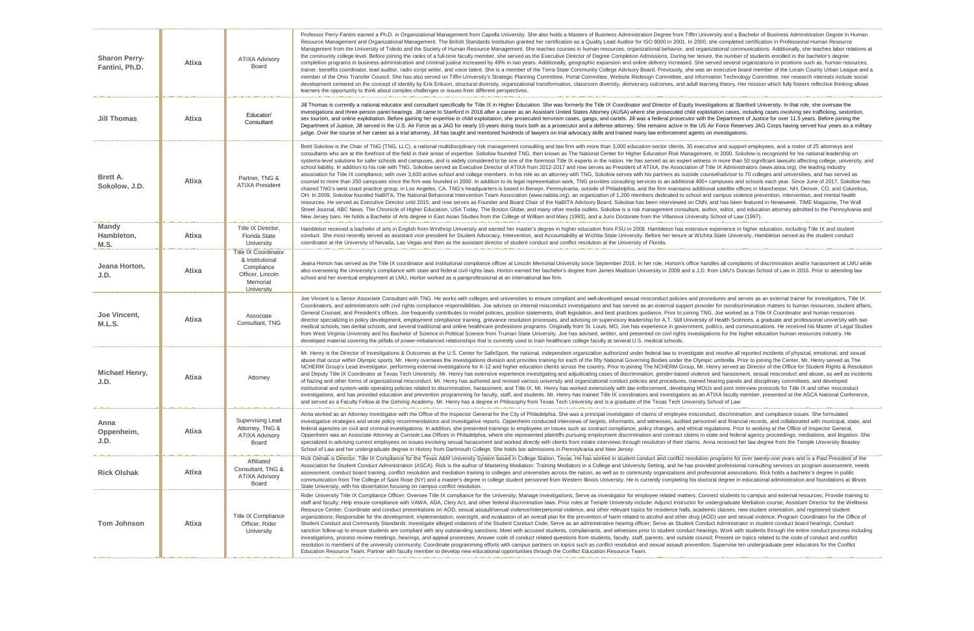| <b>Sharon Perry-</b><br>Fantini, Ph.D. | <b>Atixa</b> | <b>ATIXA Advisory</b><br><b>Board</b>                                                                             | Professor Perry-Fantini earned a Ph.D. in Organizational Management from Capella University. She also holds<br>Resource Management and Organizational Management. The British Standards Institution granted her certifica<br>Management from the University of Toledo and the Society of Human Resource Management. She teaches co<br>the community college level. Before joining the ranks of a full-time faculty member, she served as the Executive<br>completion programs in business administration and criminal justice increased by 49% in two years. Additionall<br>trainer, benefits coordinator, lead auditor, radio script writer, and voice talent. She is a member of the Terra Sta<br>member of the Ohio Transfer Council. She has also served on Tiffin University's Strategic Planning Committee.<br>development centered on the concept of identity by Erik Erikson, structural diversity, organizational transformat<br>learners the opportunity to think about complex challenges or issues from different perspectives.                                                                                                                                                                                                                                           |
|----------------------------------------|--------------|-------------------------------------------------------------------------------------------------------------------|---------------------------------------------------------------------------------------------------------------------------------------------------------------------------------------------------------------------------------------------------------------------------------------------------------------------------------------------------------------------------------------------------------------------------------------------------------------------------------------------------------------------------------------------------------------------------------------------------------------------------------------------------------------------------------------------------------------------------------------------------------------------------------------------------------------------------------------------------------------------------------------------------------------------------------------------------------------------------------------------------------------------------------------------------------------------------------------------------------------------------------------------------------------------------------------------------------------------------------------------------------------------------------------|
| <b>Jill Thomas</b>                     | <b>Atixa</b> | Educator/<br>Consultant                                                                                           | Jill Thomas is currently a national educator and consultant specifically for Title IX in Higher Education. She was<br>investigations and three-person panel hearings. Jill came to Stanford in 2018 after a career as an Assistant Uni<br>sex tourism, and online exploitation. Before gaining her expertise in child exploitation, she prosecuted terrorism<br>Department of Justice, Jill served in the U.S. Air Force as a JAG for nearly 10 years doing tours both as a prose<br>judge. Over the course of her career as a trial attorney, Jill has taught and mentored hundreds of lawyers on tria                                                                                                                                                                                                                                                                                                                                                                                                                                                                                                                                                                                                                                                                               |
| <b>Brett A.</b><br>Sokolow, J.D.       | <b>Atixa</b> | Partner, TNG &<br><b>ATIXA President</b>                                                                          | Brett Sokolow is the Chair of TNG (TNG, LLC), a national multidisciplinary risk management consulting and law<br>consultants who are at the forefront of the field in their areas of expertise. Sokolow founded TNG, then known a<br>systems-level solutions for safer schools and campuses, and is widely considered to be one of the foremost Tit<br>school liability. In addition to his role with TNG, Sokolow served as Executive Director of ATIXA from 2012-2017<br>association for Title IX compliance, with over 3,600 active school and college members. In his role as an attorne<br>counsel to more than 250 campuses since the firm was founded in 2000. In addition to its legal representation v<br>chaired TNG's west coast practice group, in Los Angeles, CA. TNG's headquarters is based in Berwyn, Pennsy<br>OH. In 2009, Sokolow founded NaBITA, The National Behavioral Intervention Team Association (www.nabita.or<br>resources. He served as Executive Director until 2015, and now serves as Founder and Board Chair of the NaE<br>Street Journal, ABC News, The Chronicle of Higher Education, USA Today, The Boston Globe, and many other<br>New Jersey bars. He holds a Bachelor of Arts degree in East Asian Studies from the College of William and Ma |
| <b>Mandy</b><br>Hambleton,<br>M.S.     | <b>Atixa</b> | Title IX Director,<br><b>Florida State</b><br>University                                                          | Hambleton received a bachelor of arts in English from Winthrop University and earned her master's degree in h<br>conduct. She most recently served as assistant vice president for Student Advocacy, Intervention, and Account<br>coordinator at the University of Nevada, Las Vegas and then as the assistant director of student conduct and co                                                                                                                                                                                                                                                                                                                                                                                                                                                                                                                                                                                                                                                                                                                                                                                                                                                                                                                                     |
| Jeana Horton,<br>J.D.                  | <b>Atixa</b> | <b>Title IX Coordinator</b><br>& Institutional<br>Compliance<br>Officer, Lincoln<br>Memorial<br><b>University</b> | Jeana Horton has served as the Title IX coordinator and institutional compliance officer at Lincoln Memorial Un<br>also overseeing the University's compliance with state and federal civil rights laws. Horton earned her bachelor'<br>school and her eventual employment at LMU, Horton worked as a paraprofessional at an international law firm.                                                                                                                                                                                                                                                                                                                                                                                                                                                                                                                                                                                                                                                                                                                                                                                                                                                                                                                                  |
| Joe Vincent,<br>M.L.S.                 | <b>Atixa</b> | Associate<br>Consultant, TNG                                                                                      | Joe Vincent is a Senior Associate Consultant with TNG. He works with colleges and universities to ensure comp<br>Coordinators, and administrators with civil rights compliance responsibilities. Joe advises on internal miscondu<br>General Counsel, and President's offices. Joe frequently contributes to model policies, position statements, dra<br>director specializing in policy development, employment compliance training, grievance resolution processes, a<br>medical schools, two dental schools, and several traditional and online healthcare professions programs. Origin<br>from West Virginia University and his Bachelor of Science in Political Science from Truman State University. Jo<br>developed material covering the pitfalls of power-imbalanced relationships that is currently used to train healthc                                                                                                                                                                                                                                                                                                                                                                                                                                                   |
| <b>Michael Henry,</b><br>J.D.          | <b>Atixa</b> | Attorney                                                                                                          | Mr. Henry is the Director of Investigations & Outcomes at the U.S. Center for SafeSport, the national, independ<br>abuse that occur within Olympic sports. Mr. Henry oversees the investigations division and provides training for<br>NCHERM Group's Lead Investigator, performing external investigations for K-12 and higher education clients a<br>and Deputy Title IX Coordinator at Texas Tech University. Mr. Henry has extensive experience investigating an<br>of hazing and other forms of organizational misconduct. Mr. Henry has authored and revised various university<br>institutional and system-wide operating policies related to discrimination, harassment, and Title IX. Mr. Henry harastical<br>investigations, and has provided education and prevention programming for faculty, staff, and students. Mr. He<br>and served as a Faculty Fellow at the Gehring Academy. Mr. Henry has a degree in Philosophy from Texas Teo                                                                                                                                                                                                                                                                                                                                   |
| Anna<br>Oppenheim,<br>J.D.             | <b>Atixa</b> | <b>Supervising Lead</b><br>Attorney, TNG &<br><b>ATIXA Advisory</b><br><b>Board</b>                               | Anna worked as an Attorney Investigator with the Office of the Inspector General for the City of Philadelphia. Sh<br>investigative strategies and wrote policy recommendations and investigative reports. Oppenheim conducted int<br>federal agencies on civil and criminal investigations. In addition, she presented trainings to employees on issue<br>Oppenheim was an Associate Attorney at Console Law Offices in Philadelphia, where she represented plaintiffs<br>specialized in advising current employees on issues involving sexual harassment and worked directly with clien<br>School of Law and her undergraduate degree in History from Dartmouth College. She holds bar admissions in F                                                                                                                                                                                                                                                                                                                                                                                                                                                                                                                                                                               |
| <b>Rick Olshak</b>                     | <b>Atixa</b> | Affiliated<br>Consultant, TNG &<br><b>ATIXA Advisory</b><br><b>Board</b>                                          | Rick Olshak is Director, Title IX Compliance for the Texas A&M University System based in College Station, Te<br>Association for Student Conduct Administration (ASCA). Rick is the author of Mastering Mediation: Training Me<br>assessment, conduct board training, conflict resolution and mediation training to colleges and universities acros<br>communication from The College of Saint Rose (NY) and a master's degree in college student personnel from \<br>State University, with his dissertation focusing on campus conflict resolution.                                                                                                                                                                                                                                                                                                                                                                                                                                                                                                                                                                                                                                                                                                                                 |
| <b>Tom Johnson</b>                     | <b>Atixa</b> | <b>Title IX Compliance</b><br>Officer, Rider<br>University                                                        | Rider University Title IX Compliance Officer: Oversee Title IX compliance for the University; Manage investigati<br>staff and faculty; Help ensure compliance with VAWA, ADA, Clery Act, and other federal discrimination laws. Pr<br>Resource Center: Coordinate and conduct presentations on AOD, sexual assault/sexual violence/interpersonal<br>organizations; Responsible for the development, implementation, oversight, and evaluation of an overall plan fo<br>Student Conduct and Community Standards: Investigate alleged violations of the Student Conduct Code; Serve<br>sanction follow-up to ensure students are compliant with any outstanding sanctions; Meet with accused student<br>investigations, process review meetings, hearings, and appeal processes; Answer code of conduct related que<br>resolution to members of the university community; Coordinate programming efforts with campus partners on to<br>Education Resource Team; Partner with faculty member to develop new educational opportunities through the (                                                                                                                                                                                                                                      |
|                                        |              |                                                                                                                   |                                                                                                                                                                                                                                                                                                                                                                                                                                                                                                                                                                                                                                                                                                                                                                                                                                                                                                                                                                                                                                                                                                                                                                                                                                                                                       |

She also holds a Masters of Business Administration Degree from Tiffin University and a Bachelor of Business Administration Degree in Human ed her certification as a Quality Lead Auditor for ISO 9000 in 2001. In 2000, she completed certification in Professional Human Resource the teaches courses in human resources, organizational behavior, and organizational communications. Additionally, she teaches labor relations at s the Executive Director of Degree Completion Admissions. During her tenure, the number of students enrolled in the bachelor's degree ars. Additionally, geographic expansion and online delivery increased. She served several organizations in positions such as, human resources, of the Terra State Community College Advisory Board. Previously, she was an executive board member of the Lorain County Urban League and a ing Committee, Portal Committee, Website Redesign Committee, and Information Technology Committee. Her research interests include social nal transformation, classroom diversity, democracy outcomes, and adult learning theory. Her mission which fully fosters reflective thinking allows

ation. She was formerly the Title IX Coordinator and Director of Equity Investigations at Stanford University. In that role, she oversaw the n Assistant United States Attorney (AUSA) where she prosecuted child exploitation cases, including cases involving sex trafficking, sextortion, cuted terrorism cases, gangs, and cartels. Jill was a federal prosecutor with the Department of Justice for over 11.5 years. Before joining the both as a prosecutor and a defense attorney. She remains active in the US Air Force Reserves JAG Corps having served four years as a military f lawyers on trial advocacy skills and trained many law enforcement agents on investigations.

sulting and law firm with more than 3,000 education-sector clients, 35 executive and support employees, and a roster of 25 attorneys and 3, then known as The National Center for Higher Education Risk Management, in 2000. Sokolow is recognized for his national leadership on e foremost Title IX experts in the nation. He has served as an expert witness in more than 50 significant lawsuits affecting college, university, and from 2012-2017 and now serves as President of ATIXA, the Association of Title IX Administrators (www.atixa.org), the leading industry le as an attorney with TNG, Sokolow serves with his partners as outside counsel/advisor to 70 colleges and universities, and has served as epresentation work, TNG provides consulting services to an additional 400+ campuses and schools each year. Since June of 2017, Sokolow has Berwyn, Pennsylvania, outside of Philadelphia, and the firm maintains additional satellite offices in Manchester, NH, Denver, CO, and Columbus, (www.nabita.org), an organization of 1,200 members dedicated to school and campus violence prevention, intervention, and mental health hair of the NaBITA Advisory Board. Sokolow has been interviewed on CNN, and has been featured in Newsweek, TIME Magazine, The Wall and many other media outlets. Sokolow is a risk management consultant, author, editor, and education attorney admitted to the Pennsylvania and William and Mary (1993), and a Juris Doctorate from the Villanova University School of Law (1997).

er's degree in higher education from FSU in 2008. Hambleton has extensive experience in higher education, including Title IX and student n, and Accountability at Wichita State University. Before her tenure at Wichita State University, Hambleton served as the student conduct conduct and conflict resolution at the University of Florida.

n Memorial University since September 2016. In her role, Horton's office handles all complaints of discrimination and/or harassment at LMU while d her bachelor's degree from James Madison University in 2009 and a J.D. from LMU's Duncan School of Law in 2016. Prior to attending law

to ensure compliant and well-developed sexual misconduct policies and procedures and serves as an external trainer for investigators, Title IX ernal misconduct investigations and has served as an external support provider for nondiscrimination matters to human resources, student affairs, statements, draft legislation, and best practices guidance. Prior to joining TNG, Joe worked as a Title IX Coordinator and human resources n processes, and advising on supervisory leadership for A.T. Still University of Health Sciences, a graduate and professional university with two ograms. Originally from St. Louis, MO, Joe has experience in government, politics, and communications. He received his Master of Legal Studies e University. Joe has advised, written, and presented on civil rights investigations for the higher education human resources industry. He to train healthcare college faculty at several U.S. medical schools.

ional, independent organization authorized under federal law to investigate and resolve all reported incidents of physical, emotional, and sexual ides training for each of the fifty National Governing Bodies under the Olympic umbrella. Prior to joining the Center, Mr. Henry served as The cation clients across the country. Prior to joining The NCHERM Group, Mr. Henry served as Director of the Office for Student Rights & Resolution nvestigating and adjudicating cases of discrimination, gender-based violence and harassment, sexual misconduct and abuse, as well as incidents ious university and organizational conduct policies and procedures, trained hearing panels and disciplinary committees, and developed X. Mr. Henry has worked extensively with law enforcement, developing MOUs and joint interview protocols for Title IX and other misconduct udents. Mr. Henry has trained Title IX coordinators and investigators as an ATIXA faculty member, presented at the ASCA National Conference, from Texas Tech University and is a graduate of the Texas Tech University School of Law

Philadelphia. She was a principal investigator of claims of employee misconduct, discrimination, and compliance issues. She formulated i conducted interviews of targets, informants, and witnesses, audited personnel and financial records, and collaborated with municipal, state, and oyees on issues such as contract compliance, policy changes, and ethical regulations. Prior to working at the Office of Inspector General, sented plaintiffs pursuing employment discrimination and contract claims in state and federal agency proceedings, mediations, and litigation. She rectly with clients from intake interviews through resolution of their claims. Anna received her law degree from the Temple University Beasley admissions in Pennsylvania and New Jersey.

ege Station, Texas. He has worked in student conduct and conflict resolution programs for over twenty-one years and is a Past President of the on: Training Mediators in a College and University Setting, and he has provided professional consulting services on program assessment, needs iiversities across the nation, as well as to community organizations and professional associations. Rick holds a bachelor's degree in public ersonnel from Western Illinois University. He is currently completing his doctoral degree in educational administration and foundations at Illinois

age investigations; Serve as investigator for employee related matters; Connect students to campus and external resources; Provide training to ination laws. Prior roles at Temple University include: Adjunct Instructor for undergraduate Mediation course; Assistant Director for the Wellness e/interpersonal violence, and other relevant topics for residence halls, academic classes, new student orientation, and registered student overall plan for the prevention of harm related to alcohol and other drug (AOD) use and sexual violence; Program Coordinator for the Office of ict Code; Serve as an administrative hearing officer; Serve as Student Conduct Administrator in student conduct board hearings; Conduct ccused students, complainants, and witnesses prior to student conduct hearings; Work with students through the entire conduct process including uct related questions from students, faculty, staff, parents, and outside council; Present on topics related to the code of conduct and conflict s partners on topics such as conflict resolution and sexual assault prevention; Supervise ten undergraduate peer educators for the Conflict es through the Conflict Education Resource Team.